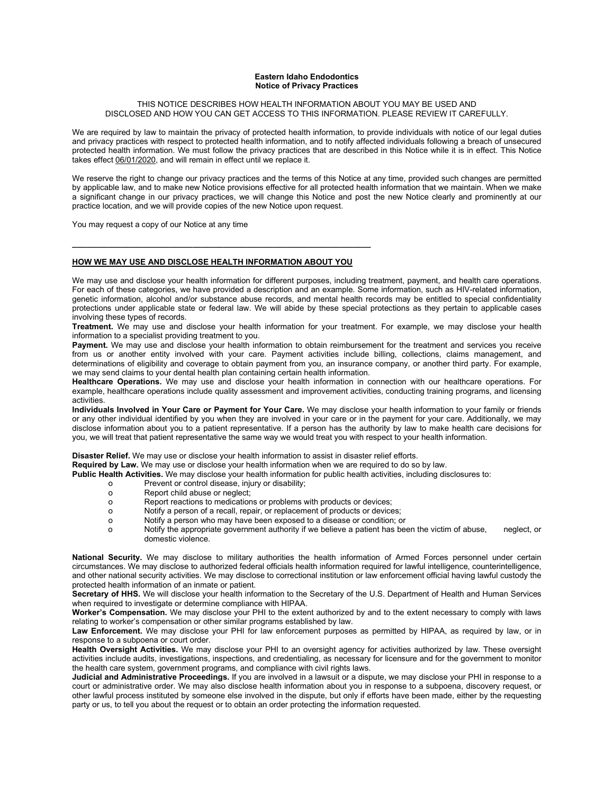#### **Eastern Idaho Endodontics Notice of Privacy Practices**

### THIS NOTICE DESCRIBES HOW HEALTH INFORMATION ABOUT YOU MAY BE USED AND DISCLOSED AND HOW YOU CAN GET ACCESS TO THIS INFORMATION. PLEASE REVIEW IT CAREFULLY.

We are required by law to maintain the privacy of protected health information, to provide individuals with notice of our legal duties and privacy practices with respect to protected health information, and to notify affected individuals following a breach of unsecured protected health information. We must follow the privacy practices that are described in this Notice while it is in effect. This Notice takes effect 06/01/2020, and will remain in effect until we replace it.

We reserve the right to change our privacy practices and the terms of this Notice at any time, provided such changes are permitted by applicable law, and to make new Notice provisions effective for all protected health information that we maintain. When we make a significant change in our privacy practices, we will change this Notice and post the new Notice clearly and prominently at our practice location, and we will provide copies of the new Notice upon request.

You may request a copy of our Notice at any time

# **HOW WE MAY USE AND DISCLOSE HEALTH INFORMATION ABOUT YOU**

**\_\_\_\_\_\_\_\_\_\_\_\_\_\_\_\_\_\_\_\_\_\_\_\_\_\_\_\_\_\_\_\_\_\_\_\_\_\_\_\_\_\_\_\_\_\_\_\_\_\_\_\_\_\_\_\_\_\_\_\_\_\_\_\_\_\_\_**

We may use and disclose your health information for different purposes, including treatment, payment, and health care operations. For each of these categories, we have provided a description and an example. Some information, such as HIV-related information, genetic information, alcohol and/or substance abuse records, and mental health records may be entitled to special confidentiality protections under applicable state or federal law. We will abide by these special protections as they pertain to applicable cases involving these types of records.

**Treatment.** We may use and disclose your health information for your treatment. For example, we may disclose your health information to a specialist providing treatment to you.

**Payment.** We may use and disclose your health information to obtain reimbursement for the treatment and services you receive from us or another entity involved with your care. Payment activities include billing, collections, claims management, and determinations of eligibility and coverage to obtain payment from you, an insurance company, or another third party. For example, we may send claims to your dental health plan containing certain health information.

**Healthcare Operations.** We may use and disclose your health information in connection with our healthcare operations. For example, healthcare operations include quality assessment and improvement activities, conducting training programs, and licensing activities.

**Individuals Involved in Your Care or Payment for Your Care.** We may disclose your health information to your family or friends or any other individual identified by you when they are involved in your care or in the payment for your care. Additionally, we may disclose information about you to a patient representative. If a person has the authority by law to make health care decisions for you, we will treat that patient representative the same way we would treat you with respect to your health information.

**Disaster Relief.** We may use or disclose your health information to assist in disaster relief efforts.

**Required by Law.** We may use or disclose your health information when we are required to do so by law.

**Public Health Activities.** We may disclose your health information for public health activities, including disclosures to:<br> **Prevent or control disease, injury or disability;** 

- o Prevent or control disease, injury or disability;
- Report child abuse or neglect;
- o Report reactions to medications or problems with products or devices;<br>O Notify a person of a recall repair, or replacement of products or device
- Notify a person of a recall, repair, or replacement of products or devices;
- o Notify a person who may have been exposed to a disease or condition; or
- Notify the appropriate government authority if we believe a patient has been the victim of abuse, neglect, or domestic violence.

**National Security.** We may disclose to military authorities the health information of Armed Forces personnel under certain circumstances. We may disclose to authorized federal officials health information required for lawful intelligence, counterintelligence, and other national security activities. We may disclose to correctional institution or law enforcement official having lawful custody the protected health information of an inmate or patient.

**Secretary of HHS.** We will disclose your health information to the Secretary of the U.S. Department of Health and Human Services when required to investigate or determine compliance with HIPAA.

**Worker's Compensation.** We may disclose your PHI to the extent authorized by and to the extent necessary to comply with laws relating to worker's compensation or other similar programs established by law.

Law Enforcement. We may disclose your PHI for law enforcement purposes as permitted by HIPAA, as required by law, or in response to a subpoena or court order.

**Health Oversight Activities.** We may disclose your PHI to an oversight agency for activities authorized by law. These oversight activities include audits, investigations, inspections, and credentialing, as necessary for licensure and for the government to monitor the health care system, government programs, and compliance with civil rights laws.

**Judicial and Administrative Proceedings.** If you are involved in a lawsuit or a dispute, we may disclose your PHI in response to a court or administrative order. We may also disclose health information about you in response to a subpoena, discovery request, or other lawful process instituted by someone else involved in the dispute, but only if efforts have been made, either by the requesting party or us, to tell you about the request or to obtain an order protecting the information requested.